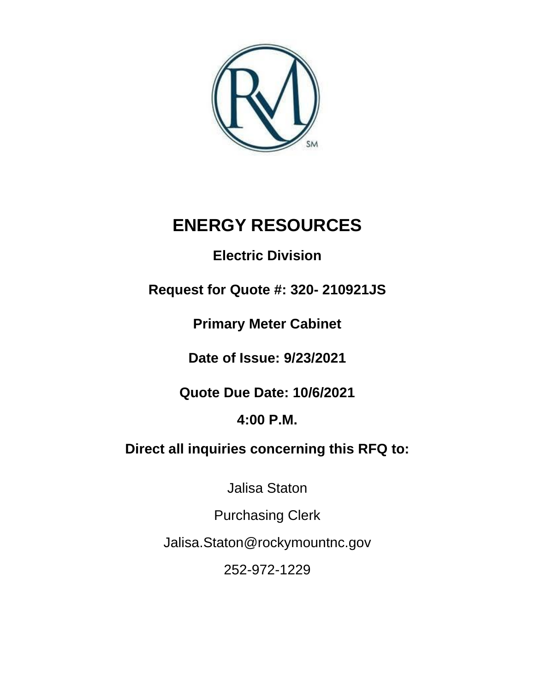

# **ENERGY RESOURCES**

# **Electric Division**

# **Request for Quote #: 320- 210921JS**

**Primary Meter Cabinet** 

**Date of Issue: 9/23/2021**

**Quote Due Date: 10/6/2021**

# **4:00 P.M.**

# **Direct all inquiries concerning this RFQ to:**

Jalisa Staton

Purchasing Clerk

Jalisa.Staton@rockymountnc.gov

252-972-1229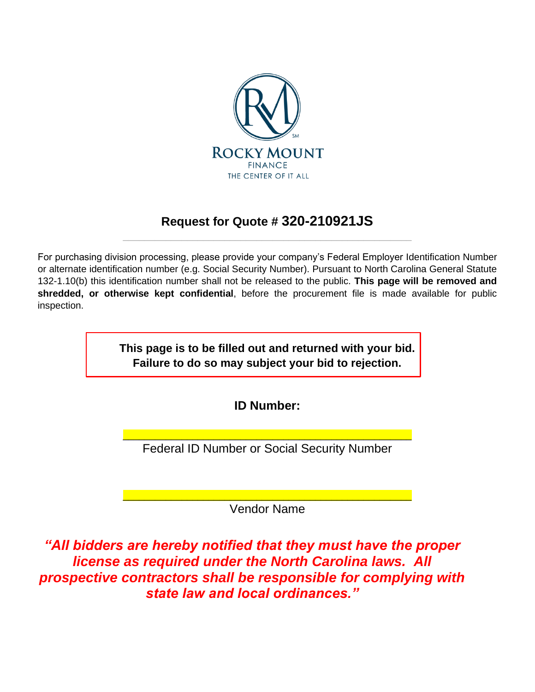

## **Request for Quote # 320-210921JS** \_\_\_\_\_\_\_\_\_\_\_\_\_\_\_\_\_\_\_\_\_\_\_\_\_\_\_\_\_\_\_\_\_\_\_\_\_\_\_\_\_\_\_\_\_\_\_\_\_\_\_\_\_\_

For purchasing division processing, please provide your company's Federal Employer Identification Number or alternate identification number (e.g. Social Security Number). Pursuant to North Carolina General Statute 132-1.10(b) this identification number shall not be released to the public. **This page will be removed and shredded, or otherwise kept confidential**, before the procurement file is made available for public inspection.

> **This page is to be filled out and returned with your bid. Failure to do so may subject your bid to rejection.**

> > **ID Number:**

\_\_\_\_\_\_\_\_\_\_\_\_\_\_\_\_\_\_\_\_\_\_\_\_\_\_\_\_\_\_\_\_\_\_\_\_\_\_\_\_\_\_\_\_\_\_\_\_\_\_\_\_\_\_ Federal ID Number or Social Security Number

\_\_\_\_\_\_\_\_\_\_\_\_\_\_\_\_\_\_\_\_\_\_\_\_\_\_\_\_\_\_\_\_\_\_\_\_\_\_\_\_\_\_\_\_\_\_\_\_\_\_\_\_\_\_ Vendor Name

*"All bidders are hereby notified that they must have the proper license as required under the North Carolina laws. All prospective contractors shall be responsible for complying with state law and local ordinances."*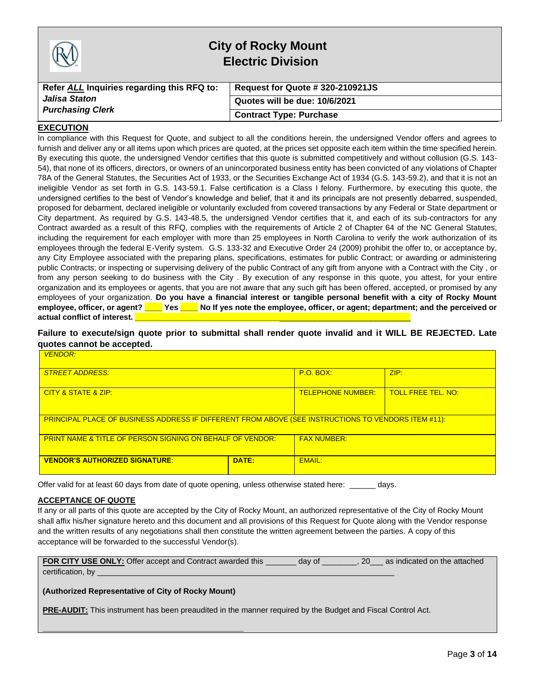|                                            | <b>City of Rocky Mount</b><br><b>Electric Division</b> |
|--------------------------------------------|--------------------------------------------------------|
| Refer ALL Inquiries regarding this RFQ to: | Request for Quote # 320-210921JS                       |
| Jalisa Staton                              | Quotes will be due: 10/6/2021                          |
| <b>Purchasing Clerk</b>                    | <b>Contract Type: Purchase</b>                         |

#### **EXECUTION**

In compliance with this Request for Quote, and subject to all the conditions herein, the undersigned Vendor offers and agrees to furnish and deliver any or all items upon which prices are quoted, at the prices set opposite each item within the time specified herein. By executing this quote, the undersigned Vendor certifies that this quote is submitted competitively and without collusion (G.S. 143- 54), that none of its officers, directors, or owners of an unincorporated business entity has been convicted of any violations of Chapter 78A of the General Statutes, the Securities Act of 1933, or the Securities Exchange Act of 1934 (G.S. 143-59.2), and that it is not an ineligible Vendor as set forth in G.S. 143-59.1. False certification is a Class I felony. Furthermore, by executing this quote, the undersigned certifies to the best of Vendor's knowledge and belief, that it and its principals are not presently debarred, suspended, proposed for debarment, declared ineligible or voluntarily excluded from covered transactions by any Federal or State department or City department. As required by G.S. 143-48.5, the undersigned Vendor certifies that it, and each of its sub-contractors for any Contract awarded as a result of this RFQ, complies with the requirements of Article 2 of Chapter 64 of the NC General Statutes, including the requirement for each employer with more than 25 employees in North Carolina to verify the work authorization of its employees through the federal E-Verify system. G.S. 133-32 and Executive Order 24 (2009) prohibit the offer to, or acceptance by, any City Employee associated with the preparing plans, specifications, estimates for public Contract; or awarding or administering public Contracts; or inspecting or supervising delivery of the public Contract of any gift from anyone with a Contract with the City , or from any person seeking to do business with the City . By execution of any response in this quote, you attest, for your entire organization and its employees or agents, that you are not aware that any such gift has been offered, accepted, or promised by any employees of your organization. **Do you have a financial interest or tangible personal benefit with a city of Rocky Mount employee, officer, or agent? \_\_\_\_ Yes \_\_\_\_ No If yes note the employee, officer, or agent; department; and the perceived or**  actual conflict of interest. **Quarter** 

#### **Failure to execute/sign quote prior to submittal shall render quote invalid and it WILL BE REJECTED. Late quotes cannot be accepted.**

| <b>VENDOR:</b>                                                                                             |                          |                           |      |  |
|------------------------------------------------------------------------------------------------------------|--------------------------|---------------------------|------|--|
| <b>STREET ADDRESS:</b>                                                                                     |                          | $P.O.$ BOX:               | ZIP: |  |
| CITY & STATE & ZIP:                                                                                        | <u>TELEPHONE NUMBER:</u> | <b>TOLL FREE TEL. NO:</b> |      |  |
| <b>PRINCIPAL PLACE OF BUSINESS ADDRESS IF DIFFERENT FROM ABOVE (SEE INSTRUCTIONS TO VENDORS ITEM #11):</b> |                          |                           |      |  |
| <b>PRINT NAME &amp; TITLE OF PERSON SIGNING ON BEHALF OF VENDOR:</b>                                       |                          | <b>FAX NUMBER:</b>        |      |  |
| <b>VENDOR'S AUTHORIZED SIGNATURE:</b>                                                                      | DATE:                    | EMAIL:                    |      |  |

Offer valid for at least 60 days from date of quote opening, unless otherwise stated here: \_\_\_\_\_\_ days.

#### **ACCEPTANCE OF QUOTE**

If any or all parts of this quote are accepted by the City of Rocky Mount, an authorized representative of the City of Rocky Mount shall affix his/her signature hereto and this document and all provisions of this Request for Quote along with the Vendor response and the written results of any negotiations shall then constitute the written agreement between the parties. A copy of this acceptance will be forwarded to the successful Vendor(s).

| <b>FOR CITY USE ONLY:</b> Offer accept and Contract awarded this | day of | 20 | as indicated on the attached |
|------------------------------------------------------------------|--------|----|------------------------------|
| certification, by                                                |        |    |                              |
|                                                                  |        |    |                              |

#### **(Authorized Representative of City of Rocky Mount)**

**\_\_\_\_\_\_\_\_\_\_\_\_\_\_\_\_\_\_\_\_\_\_\_\_\_\_\_\_\_\_\_\_\_\_\_\_\_\_\_\_\_\_\_\_\_\_**

**PRE-AUDIT:** This instrument has been preaudited in the manner required by the Budget and Fiscal Control Act.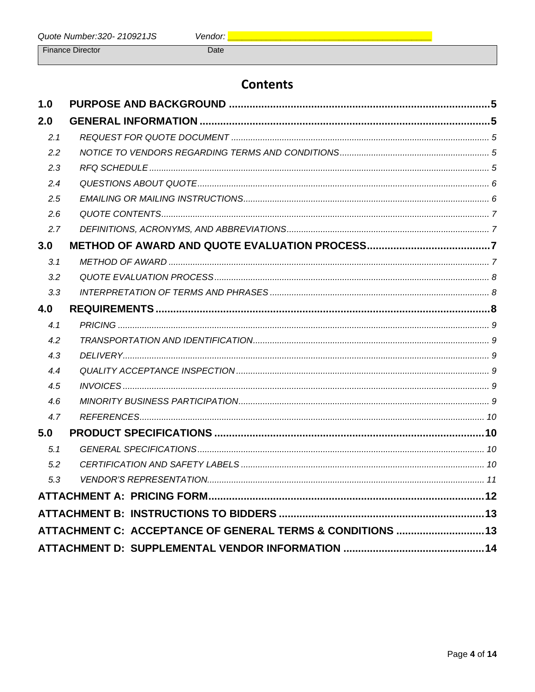**Finance Director** 

Date

# **Contents**

| 1.0 |                                                            |  |
|-----|------------------------------------------------------------|--|
| 2.0 |                                                            |  |
| 2.1 |                                                            |  |
| 2.2 |                                                            |  |
| 2.3 |                                                            |  |
| 2.4 |                                                            |  |
| 2.5 |                                                            |  |
| 2.6 |                                                            |  |
| 2.7 |                                                            |  |
| 3.0 |                                                            |  |
| 3.1 |                                                            |  |
| 3.2 |                                                            |  |
| 3.3 |                                                            |  |
| 4.0 |                                                            |  |
| 4.1 |                                                            |  |
| 4.2 |                                                            |  |
| 4.3 |                                                            |  |
| 4.4 |                                                            |  |
| 4.5 |                                                            |  |
| 4.6 |                                                            |  |
| 4.7 |                                                            |  |
| 5.0 |                                                            |  |
| 5.1 |                                                            |  |
| 5.2 |                                                            |  |
| 5.3 |                                                            |  |
|     |                                                            |  |
|     |                                                            |  |
|     | ATTACHMENT C: ACCEPTANCE OF GENERAL TERMS & CONDITIONS  13 |  |
|     |                                                            |  |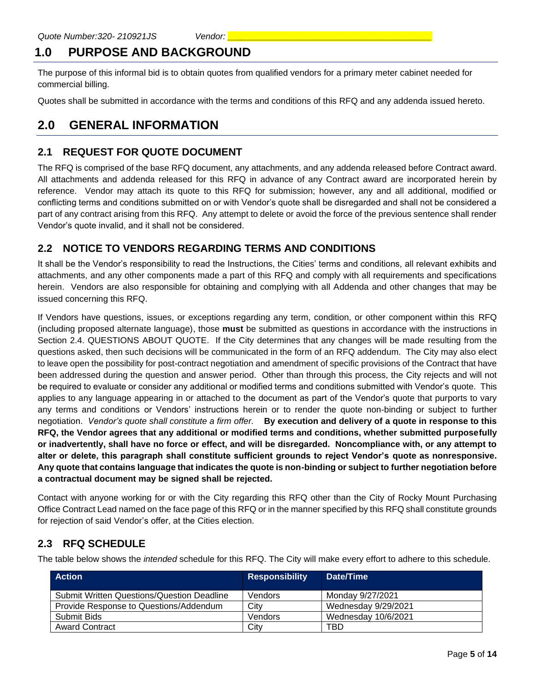# <span id="page-4-0"></span>**1.0 PURPOSE AND BACKGROUND**

The purpose of this informal bid is to obtain quotes from qualified vendors for a primary meter cabinet needed for commercial billing.

Quotes shall be submitted in accordance with the terms and conditions of this RFQ and any addenda issued hereto.

## <span id="page-4-1"></span>**2.0 GENERAL INFORMATION**

#### <span id="page-4-2"></span>**2.1 REQUEST FOR QUOTE DOCUMENT**

The RFQ is comprised of the base RFQ document, any attachments, and any addenda released before Contract award. All attachments and addenda released for this RFQ in advance of any Contract award are incorporated herein by reference. Vendor may attach its quote to this RFQ for submission; however, any and all additional, modified or conflicting terms and conditions submitted on or with Vendor's quote shall be disregarded and shall not be considered a part of any contract arising from this RFQ. Any attempt to delete or avoid the force of the previous sentence shall render Vendor's quote invalid, and it shall not be considered.

### <span id="page-4-3"></span>**2.2 NOTICE TO VENDORS REGARDING TERMS AND CONDITIONS**

It shall be the Vendor's responsibility to read the Instructions, the Cities' terms and conditions, all relevant exhibits and attachments, and any other components made a part of this RFQ and comply with all requirements and specifications herein. Vendors are also responsible for obtaining and complying with all Addenda and other changes that may be issued concerning this RFQ.

If Vendors have questions, issues, or exceptions regarding any term, condition, or other component within this RFQ (including proposed alternate language), those **must** be submitted as questions in accordance with the instructions in Section 2.4. QUESTIONS ABOUT QUOTE. If the City determines that any changes will be made resulting from the questions asked, then such decisions will be communicated in the form of an RFQ addendum. The City may also elect to leave open the possibility for post-contract negotiation and amendment of specific provisions of the Contract that have been addressed during the question and answer period. Other than through this process, the City rejects and will not be required to evaluate or consider any additional or modified terms and conditions submitted with Vendor's quote. This applies to any language appearing in or attached to the document as part of the Vendor's quote that purports to vary any terms and conditions or Vendors' instructions herein or to render the quote non-binding or subject to further negotiation. *Vendor's quote shall constitute a firm offer.* **By execution and delivery of a quote in response to this RFQ, the Vendor agrees that any additional or modified terms and conditions, whether submitted purposefully or inadvertently, shall have no force or effect, and will be disregarded. Noncompliance with, or any attempt to alter or delete, this paragraph shall constitute sufficient grounds to reject Vendor's quote as nonresponsive. Any quote that contains language that indicates the quote is non-binding or subject to further negotiation before a contractual document may be signed shall be rejected.**

Contact with anyone working for or with the City regarding this RFQ other than the City of Rocky Mount Purchasing Office Contract Lead named on the face page of this RFQ or in the manner specified by this RFQ shall constitute grounds for rejection of said Vendor's offer, at the Cities election.

### <span id="page-4-4"></span>**2.3 RFQ SCHEDULE**

The table below shows the *intended* schedule for this RFQ. The City will make every effort to adhere to this schedule.

| <b>Action</b>                                     | <b>Responsibility</b> | Date/Time           |
|---------------------------------------------------|-----------------------|---------------------|
| <b>Submit Written Questions/Question Deadline</b> | Vendors               | Monday 9/27/2021    |
| Provide Response to Questions/Addendum            | City                  | Wednesday 9/29/2021 |
| Submit Bids                                       | Vendors               | Wednesday 10/6/2021 |
| <b>Award Contract</b>                             | City                  | TBD                 |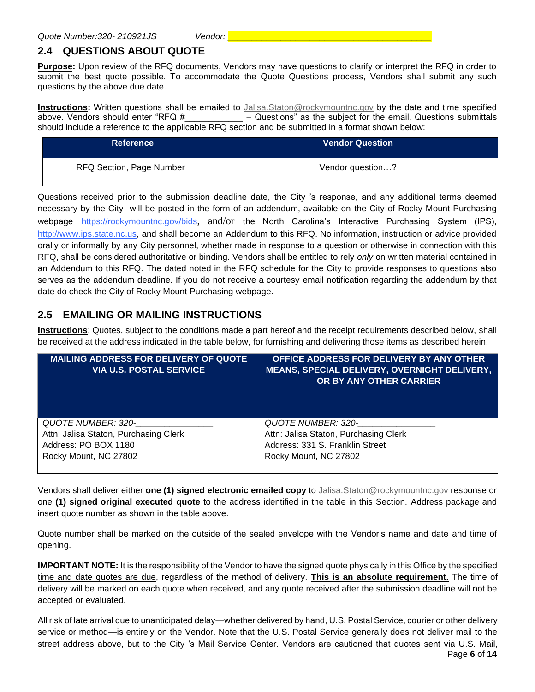## <span id="page-5-0"></span>**2.4 QUESTIONS ABOUT QUOTE**

**Purpose:** Upon review of the RFQ documents, Vendors may have questions to clarify or interpret the RFQ in order to submit the best quote possible. To accommodate the Quote Questions process, Vendors shall submit any such questions by the above due date.

**Instructions:** Written questions shall be emailed to [Jalisa.Staton@rockymountnc.gov](mailto:debra.harris@rockymountnc.gov) by the date and time specified above. Vendors should enter "RFQ  $\sharp$   $-$  Questions" as the subject for the email. Questions submittals should include a reference to the applicable RFQ section and be submitted in a format shown below:

| <b>Reference</b>         | <b>Vendor Question</b> |
|--------------------------|------------------------|
| RFQ Section, Page Number | Vendor question?       |

Questions received prior to the submission deadline date, the City 's response, and any additional terms deemed necessary by the City will be posted in the form of an addendum, available on the City of Rocky Mount Purchasing webpage https://rockymountnc.gov/bids, and/or the North Carolina's Interactive Purchasing System (IPS), [http://www.ips.state.nc.us,](http://www.ips.state.nc.us/) and shall become an Addendum to this RFQ. No information, instruction or advice provided orally or informally by any City personnel, whether made in response to a question or otherwise in connection with this RFQ, shall be considered authoritative or binding. Vendors shall be entitled to rely *only* on written material contained in an Addendum to this RFQ. The dated noted in the RFQ schedule for the City to provide responses to questions also serves as the addendum deadline. If you do not receive a courtesy email notification regarding the addendum by that date do check the City of Rocky Mount Purchasing webpage.

### <span id="page-5-1"></span>**2.5 EMAILING OR MAILING INSTRUCTIONS**

**Instructions**: Quotes, subject to the conditions made a part hereof and the receipt requirements described below, shall be received at the address indicated in the table below, for furnishing and delivering those items as described herein.

| <b>MAILING ADDRESS FOR DELIVERY OF QUOTE</b><br><b>VIA U.S. POSTAL SERVICE</b> | OFFICE ADDRESS FOR DELIVERY BY ANY OTHER<br>MEANS, SPECIAL DELIVERY, OVERNIGHT DELIVERY,<br>OR BY ANY OTHER CARRIER |
|--------------------------------------------------------------------------------|---------------------------------------------------------------------------------------------------------------------|
| QUOTE NUMBER: 320-                                                             | QUOTE NUMBER: 320-                                                                                                  |
| Attn: Jalisa Staton, Purchasing Clerk                                          | Attn: Jalisa Staton, Purchasing Clerk                                                                               |
| Address: PO BOX 1180                                                           | Address: 331 S. Franklin Street                                                                                     |
| Rocky Mount, NC 27802                                                          | Rocky Mount, NC 27802                                                                                               |

Vendors shall deliver either **one (1) signed electronic emailed copy** to [Jalisa.Staton@rockymountnc.gov](mailto:debra.harris@rockymountnc.gov) response or one **(1) signed original executed quote** to the address identified in the table in this Section. Address package and insert quote number as shown in the table above.

Quote number shall be marked on the outside of the sealed envelope with the Vendor's name and date and time of opening.

**IMPORTANT NOTE:** It is the responsibility of the Vendor to have the signed quote physically in this Office by the specified time and date quotes are due, regardless of the method of delivery. **This is an absolute requirement.** The time of delivery will be marked on each quote when received, and any quote received after the submission deadline will not be accepted or evaluated.

All risk of late arrival due to unanticipated delay—whether delivered by hand, U.S. Postal Service, courier or other delivery service or method—is entirely on the Vendor. Note that the U.S. Postal Service generally does not deliver mail to the street address above, but to the City 's Mail Service Center. Vendors are cautioned that quotes sent via U.S. Mail,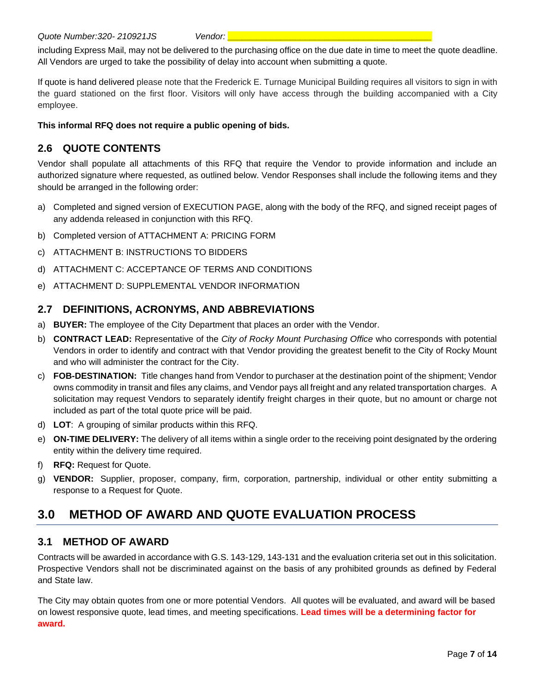including Express Mail, may not be delivered to the purchasing office on the due date in time to meet the quote deadline. All Vendors are urged to take the possibility of delay into account when submitting a quote.

If quote is hand delivered please note that the Frederick E. Turnage Municipal Building requires all visitors to sign in with the guard stationed on the first floor. Visitors will only have access through the building accompanied with a City employee.

**This informal RFQ does not require a public opening of bids.**

## <span id="page-6-0"></span>**2.6 QUOTE CONTENTS**

Vendor shall populate all attachments of this RFQ that require the Vendor to provide information and include an authorized signature where requested, as outlined below. Vendor Responses shall include the following items and they should be arranged in the following order:

- a) Completed and signed version of EXECUTION PAGE, along with the body of the RFQ, and signed receipt pages of any addenda released in conjunction with this RFQ.
- b) Completed version of ATTACHMENT A: PRICING FORM
- c) ATTACHMENT B: INSTRUCTIONS TO BIDDERS
- d) ATTACHMENT C: ACCEPTANCE OF TERMS AND CONDITIONS
- e) ATTACHMENT D: SUPPLEMENTAL VENDOR INFORMATION

#### <span id="page-6-1"></span>**2.7 DEFINITIONS, ACRONYMS, AND ABBREVIATIONS**

- a) **BUYER:** The employee of the City Department that places an order with the Vendor.
- b) **CONTRACT LEAD:** Representative of the *City of Rocky Mount Purchasing Office* who corresponds with potential Vendors in order to identify and contract with that Vendor providing the greatest benefit to the City of Rocky Mount and who will administer the contract for the City.
- c) **FOB-DESTINATION:** Title changes hand from Vendor to purchaser at the destination point of the shipment; Vendor owns commodity in transit and files any claims, and Vendor pays all freight and any related transportation charges. A solicitation may request Vendors to separately identify freight charges in their quote, but no amount or charge not included as part of the total quote price will be paid.
- d) **LOT**: A grouping of similar products within this RFQ.
- e) **ON-TIME DELIVERY:** The delivery of all items within a single order to the receiving point designated by the ordering entity within the delivery time required.
- f) **RFQ:** Request for Quote.
- g) **VENDOR:** Supplier, proposer, company, firm, corporation, partnership, individual or other entity submitting a response to a Request for Quote.

# <span id="page-6-2"></span>**3.0 METHOD OF AWARD AND QUOTE EVALUATION PROCESS**

#### <span id="page-6-3"></span>**3.1 METHOD OF AWARD**

Contracts will be awarded in accordance with G.S. 143-129, 143-131 and the evaluation criteria set out in this solicitation. Prospective Vendors shall not be discriminated against on the basis of any prohibited grounds as defined by Federal and State law.

The City may obtain quotes from one or more potential Vendors. All quotes will be evaluated, and award will be based on lowest responsive quote, lead times, and meeting specifications. **Lead times will be a determining factor for award.**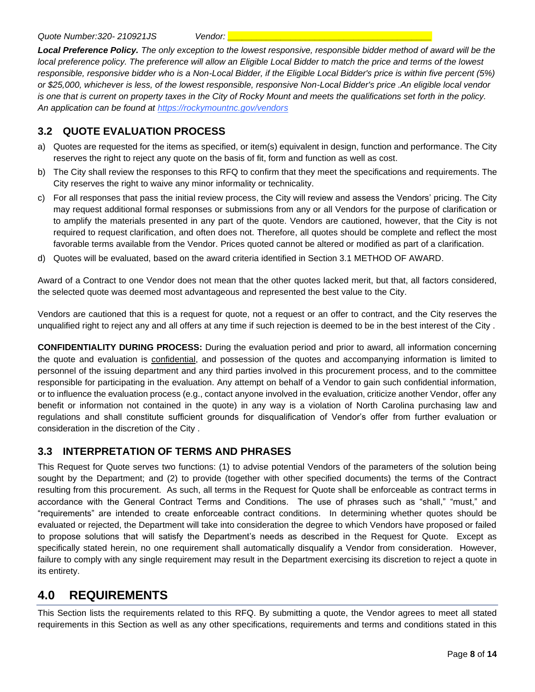*Local Preference Policy. The only exception to the lowest responsive, responsible bidder method of award will be the local preference policy. The preference will allow an Eligible Local Bidder to match the price and terms of the lowest responsible, responsive bidder who is a Non-Local Bidder, if the Eligible Local Bidder's price is within five percent (5%) or \$25,000, whichever is less, of the lowest responsible, responsive Non-Local Bidder's price .An eligible local vendor is one that is current on property taxes in the City of Rocky Mount and meets the qualifications set forth in the policy. An application can be found at https://rockymountnc.gov/vendors*

#### <span id="page-7-0"></span>**3.2 QUOTE EVALUATION PROCESS**

- a) Quotes are requested for the items as specified, or item(s) equivalent in design, function and performance. The City reserves the right to reject any quote on the basis of fit, form and function as well as cost.
- b) The City shall review the responses to this RFQ to confirm that they meet the specifications and requirements. The City reserves the right to waive any minor informality or technicality.
- c) For all responses that pass the initial review process, the City will review and assess the Vendors' pricing. The City may request additional formal responses or submissions from any or all Vendors for the purpose of clarification or to amplify the materials presented in any part of the quote. Vendors are cautioned, however, that the City is not required to request clarification, and often does not. Therefore, all quotes should be complete and reflect the most favorable terms available from the Vendor. Prices quoted cannot be altered or modified as part of a clarification.
- d) Quotes will be evaluated, based on the award criteria identified in Section 3.1 METHOD OF AWARD.

Award of a Contract to one Vendor does not mean that the other quotes lacked merit, but that, all factors considered, the selected quote was deemed most advantageous and represented the best value to the City.

Vendors are cautioned that this is a request for quote, not a request or an offer to contract, and the City reserves the unqualified right to reject any and all offers at any time if such rejection is deemed to be in the best interest of the City .

**CONFIDENTIALITY DURING PROCESS:** During the evaluation period and prior to award, all information concerning the quote and evaluation is confidential, and possession of the quotes and accompanying information is limited to personnel of the issuing department and any third parties involved in this procurement process, and to the committee responsible for participating in the evaluation. Any attempt on behalf of a Vendor to gain such confidential information, or to influence the evaluation process (e.g., contact anyone involved in the evaluation, criticize another Vendor, offer any benefit or information not contained in the quote) in any way is a violation of North Carolina purchasing law and regulations and shall constitute sufficient grounds for disqualification of Vendor's offer from further evaluation or consideration in the discretion of the City .

#### <span id="page-7-1"></span>**3.3 INTERPRETATION OF TERMS AND PHRASES**

This Request for Quote serves two functions: (1) to advise potential Vendors of the parameters of the solution being sought by the Department; and (2) to provide (together with other specified documents) the terms of the Contract resulting from this procurement. As such, all terms in the Request for Quote shall be enforceable as contract terms in accordance with the General Contract Terms and Conditions. The use of phrases such as "shall," "must," and "requirements" are intended to create enforceable contract conditions. In determining whether quotes should be evaluated or rejected, the Department will take into consideration the degree to which Vendors have proposed or failed to propose solutions that will satisfy the Department's needs as described in the Request for Quote. Except as specifically stated herein, no one requirement shall automatically disqualify a Vendor from consideration. However, failure to comply with any single requirement may result in the Department exercising its discretion to reject a quote in its entirety.

## <span id="page-7-2"></span>**4.0 REQUIREMENTS**

This Section lists the requirements related to this RFQ. By submitting a quote, the Vendor agrees to meet all stated requirements in this Section as well as any other specifications, requirements and terms and conditions stated in this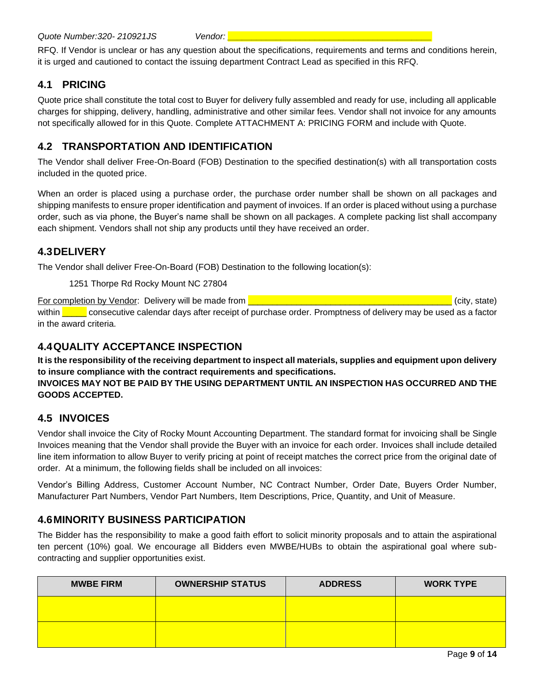RFQ. If Vendor is unclear or has any question about the specifications, requirements and terms and conditions herein, it is urged and cautioned to contact the issuing department Contract Lead as specified in this RFQ.

## <span id="page-8-0"></span>**4.1 PRICING**

Quote price shall constitute the total cost to Buyer for delivery fully assembled and ready for use, including all applicable charges for shipping, delivery, handling, administrative and other similar fees. Vendor shall not invoice for any amounts not specifically allowed for in this Quote. Complete ATTACHMENT A: PRICING FORM and include with Quote.

## <span id="page-8-1"></span>**4.2 TRANSPORTATION AND IDENTIFICATION**

The Vendor shall deliver Free-On-Board (FOB) Destination to the specified destination(s) with all transportation costs included in the quoted price.

When an order is placed using a purchase order, the purchase order number shall be shown on all packages and shipping manifests to ensure proper identification and payment of invoices. If an order is placed without using a purchase order, such as via phone, the Buyer's name shall be shown on all packages. A complete packing list shall accompany each shipment. Vendors shall not ship any products until they have received an order.

### <span id="page-8-2"></span>**4.3DELIVERY**

The Vendor shall deliver Free-On-Board (FOB) Destination to the following location(s):

1251 Thorpe Rd Rocky Mount NC 27804

For completion by Vendor: Delivery will be made from **Exercise 2008** Constanting the state of city, state) within <u>secutive calendar days after receipt of purchase order</u>. Promptness of delivery may be used as a factor in the award criteria.

#### <span id="page-8-3"></span>**4.4QUALITY ACCEPTANCE INSPECTION**

**It is the responsibility of the receiving department to inspect all materials, supplies and equipment upon delivery to insure compliance with the contract requirements and specifications.**

#### **INVOICES MAY NOT BE PAID BY THE USING DEPARTMENT UNTIL AN INSPECTION HAS OCCURRED AND THE GOODS ACCEPTED.**

### <span id="page-8-4"></span>**4.5 INVOICES**

Vendor shall invoice the City of Rocky Mount Accounting Department. The standard format for invoicing shall be Single Invoices meaning that the Vendor shall provide the Buyer with an invoice for each order. Invoices shall include detailed line item information to allow Buyer to verify pricing at point of receipt matches the correct price from the original date of order. At a minimum, the following fields shall be included on all invoices:

Vendor's Billing Address, Customer Account Number, NC Contract Number, Order Date, Buyers Order Number, Manufacturer Part Numbers, Vendor Part Numbers, Item Descriptions, Price, Quantity, and Unit of Measure.

#### <span id="page-8-5"></span>**4.6MINORITY BUSINESS PARTICIPATION**

The Bidder has the responsibility to make a good faith effort to solicit minority proposals and to attain the aspirational ten percent (10%) goal. We encourage all Bidders even MWBE/HUBs to obtain the aspirational goal where subcontracting and supplier opportunities exist.

| <b>MWBE FIRM</b> | <b>OWNERSHIP STATUS</b> | <b>ADDRESS</b> | <b>WORK TYPE</b> |
|------------------|-------------------------|----------------|------------------|
|                  |                         |                |                  |
|                  |                         |                |                  |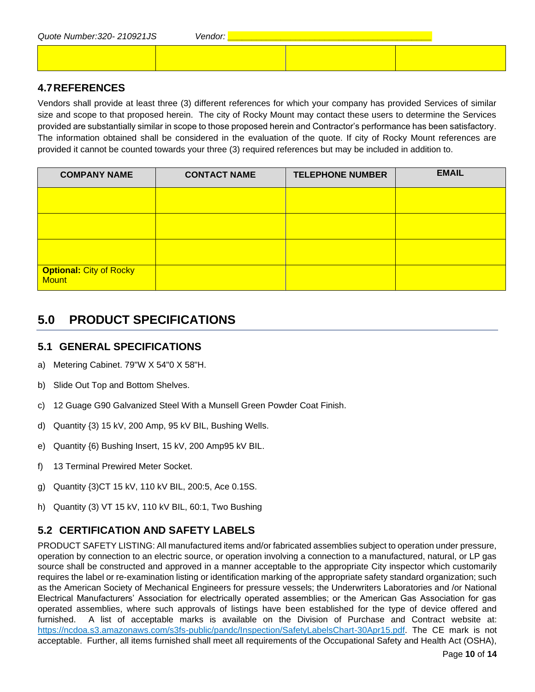| Quote Number: 320-210921JS | <i>Vendor:</i> |  |
|----------------------------|----------------|--|
|                            |                |  |

#### <span id="page-9-0"></span>**4.7REFERENCES**

Vendors shall provide at least three (3) different references for which your company has provided Services of similar size and scope to that proposed herein. The city of Rocky Mount may contact these users to determine the Services provided are substantially similar in scope to those proposed herein and Contractor's performance has been satisfactory. The information obtained shall be considered in the evaluation of the quote. If city of Rocky Mount references are provided it cannot be counted towards your three (3) required references but may be included in addition to.

| <b>COMPANY NAME</b>                            | <b>CONTACT NAME</b> | <b>TELEPHONE NUMBER</b> | <b>EMAIL</b> |
|------------------------------------------------|---------------------|-------------------------|--------------|
|                                                |                     |                         |              |
|                                                |                     |                         |              |
|                                                |                     |                         |              |
| <b>Optional: City of Rocky</b><br><b>Mount</b> |                     |                         |              |

# <span id="page-9-1"></span>**5.0 PRODUCT SPECIFICATIONS**

#### <span id="page-9-2"></span>**5.1 GENERAL SPECIFICATIONS**

- a) Metering Cabinet. 79"W X 54"0 X 58"H.
- b) Slide Out Top and Bottom Shelves.
- c) 12 Guage G90 Galvanized Steel With a Munsell Green Powder Coat Finish.
- d) Quantity {3) 15 kV, 200 Amp, 95 kV BIL, Bushing Wells.
- e) Quantity {6) Bushing Insert, 15 kV, 200 Amp95 kV BIL.
- f) 13 Terminal Prewired Meter Socket.
- g) Quantity {3)CT 15 kV, 110 kV BIL, 200:5, Ace 0.15S.
- h) Quantity (3) VT 15 kV, 110 kV BIL, 60:1, Two Bushing

### <span id="page-9-3"></span>**5.2 CERTIFICATION AND SAFETY LABELS**

PRODUCT SAFETY LISTING: All manufactured items and/or fabricated assemblies subject to operation under pressure, operation by connection to an electric source, or operation involving a connection to a manufactured, natural, or LP gas source shall be constructed and approved in a manner acceptable to the appropriate City inspector which customarily requires the label or re-examination listing or identification marking of the appropriate safety standard organization; such as the American Society of Mechanical Engineers for pressure vessels; the Underwriters Laboratories and /or National Electrical Manufacturers' Association for electrically operated assemblies; or the American Gas Association for gas operated assemblies, where such approvals of listings have been established for the type of device offered and furnished. A list of acceptable marks is available on the Division of Purchase and Contract website at: [https://ncdoa.s3.amazonaws.com/s3fs-public/pandc/Inspection/SafetyLabelsChart-30Apr15.pdf.](https://ncdoa.s3.amazonaws.com/s3fs-public/pandc/Inspection/SafetyLabelsChart-30Apr15.pdf) The CE mark is not acceptable. Further, all items furnished shall meet all requirements of the Occupational Safety and Health Act (OSHA),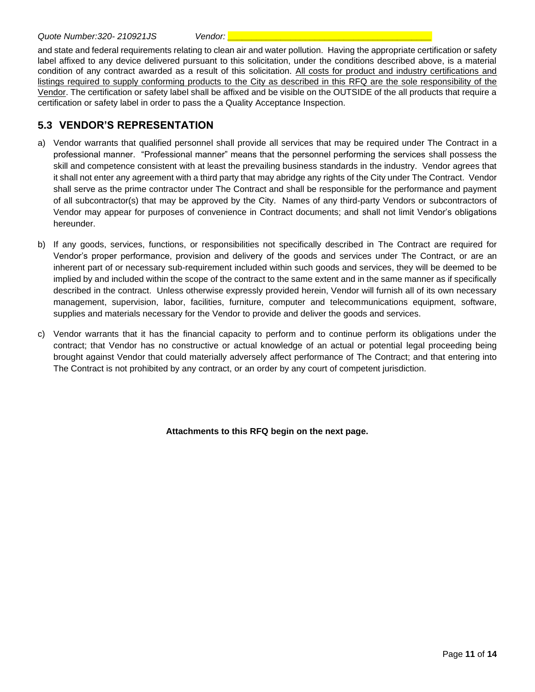and state and federal requirements relating to clean air and water pollution. Having the appropriate certification or safety label affixed to any device delivered pursuant to this solicitation, under the conditions described above, is a material condition of any contract awarded as a result of this solicitation. All costs for product and industry certifications and listings required to supply conforming products to the City as described in this RFQ are the sole responsibility of the Vendor. The certification or safety label shall be affixed and be visible on the OUTSIDE of the all products that require a certification or safety label in order to pass the a Quality Acceptance Inspection.

#### <span id="page-10-0"></span>**5.3 VENDOR'S REPRESENTATION**

- a) Vendor warrants that qualified personnel shall provide all services that may be required under The Contract in a professional manner. "Professional manner" means that the personnel performing the services shall possess the skill and competence consistent with at least the prevailing business standards in the industry. Vendor agrees that it shall not enter any agreement with a third party that may abridge any rights of the City under The Contract. Vendor shall serve as the prime contractor under The Contract and shall be responsible for the performance and payment of all subcontractor(s) that may be approved by the City. Names of any third-party Vendors or subcontractors of Vendor may appear for purposes of convenience in Contract documents; and shall not limit Vendor's obligations hereunder.
- b) If any goods, services, functions, or responsibilities not specifically described in The Contract are required for Vendor's proper performance, provision and delivery of the goods and services under The Contract, or are an inherent part of or necessary sub-requirement included within such goods and services, they will be deemed to be implied by and included within the scope of the contract to the same extent and in the same manner as if specifically described in the contract. Unless otherwise expressly provided herein, Vendor will furnish all of its own necessary management, supervision, labor, facilities, furniture, computer and telecommunications equipment, software, supplies and materials necessary for the Vendor to provide and deliver the goods and services.
- c) Vendor warrants that it has the financial capacity to perform and to continue perform its obligations under the contract; that Vendor has no constructive or actual knowledge of an actual or potential legal proceeding being brought against Vendor that could materially adversely affect performance of The Contract; and that entering into The Contract is not prohibited by any contract, or an order by any court of competent jurisdiction.

**Attachments to this RFQ begin on the next page.**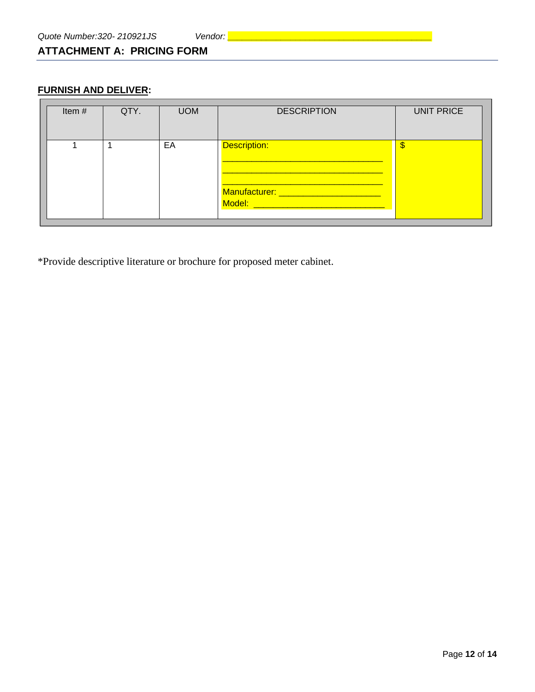## <span id="page-11-0"></span>**ATTACHMENT A: PRICING FORM**

#### **FURNISH AND DELIVER:**

| Item# | QTY. | <b>UOM</b> | <b>DESCRIPTION</b>                                                                             | <b>UNIT PRICE</b> |
|-------|------|------------|------------------------------------------------------------------------------------------------|-------------------|
|       |      | EA         | Description:<br>Manufacturer: ________________________<br>Model: _____________________________ |                   |

\*Provide descriptive literature or brochure for proposed meter cabinet.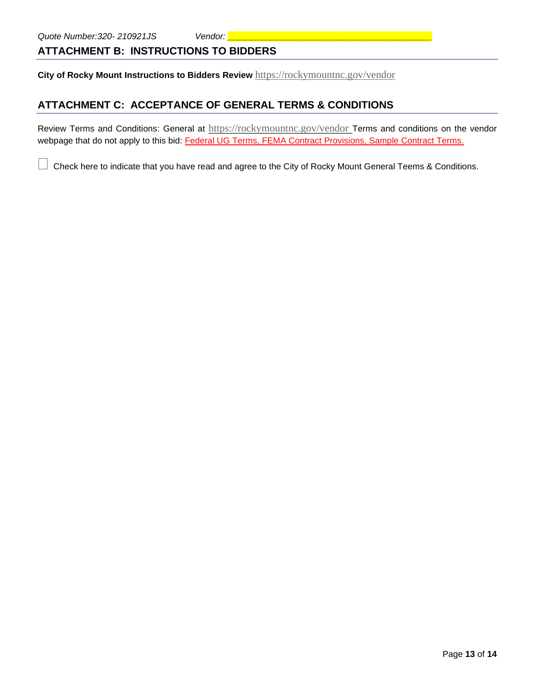## <span id="page-12-0"></span>**ATTACHMENT B: INSTRUCTIONS TO BIDDERS**

**City of Rocky Mount Instructions to Bidders Review** <https://rockymountnc.gov/vendor>

## <span id="page-12-1"></span>**ATTACHMENT C: ACCEPTANCE OF GENERAL TERMS & CONDITIONS**

Review Terms and Conditions: General at <https://rockymountnc.gov/vendor> Terms and conditions on the vendor webpage that do not apply to this bid: Federal UG Terms, FEMA Contract Provisions, Sample Contract Terms.

Check here to indicate that you have read and agree to the City of Rocky Mount General Teems & Conditions.